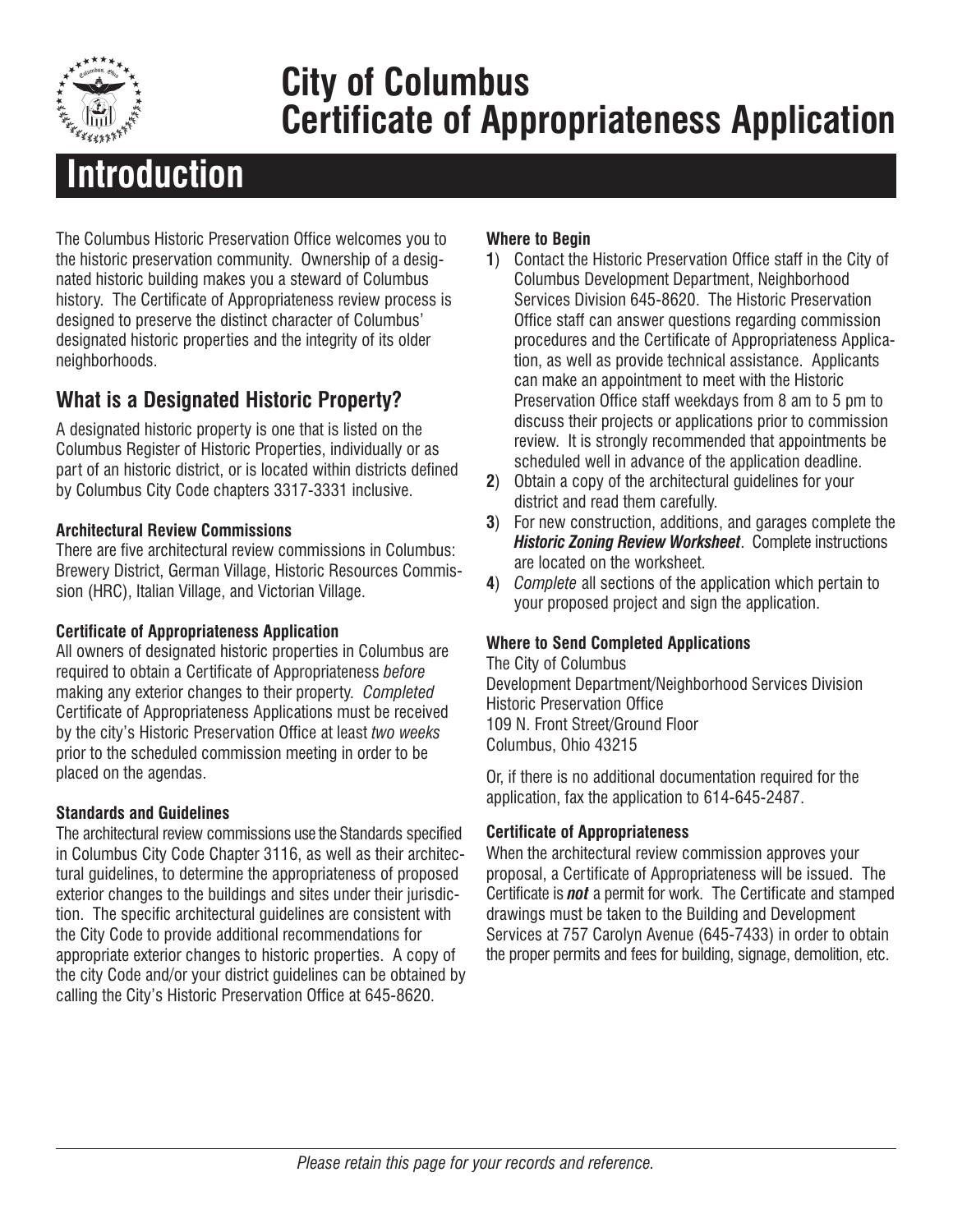

# **City of Columbus Certificate of Appropriateness Application**

# **Introduction**

The Columbus Historic Preservation Office welcomes you to the historic preservation community. Ownership of a designated historic building makes you a steward of Columbus history. The Certificate of Appropriateness review process is designed to preserve the distinct character of Columbus' designated historic properties and the integrity of its older neighborhoods.

### **What is a Designated Historic Property?**

A designated historic property is one that is listed on the Columbus Register of Historic Properties, individually or as part of an historic district, or is located within districts defined by Columbus City Code chapters 3317-3331 inclusive.

#### **Architectural Review Commissions**

There are five architectural review commissions in Columbus: Brewery District, German Village, Historic Resources Commission (HRC), Italian Village, and Victorian Village.

#### **Certificate of Appropriateness Application**

All owners of designated historic properties in Columbus are required to obtain a Certificate of Appropriateness *before* making any exterior changes to their property. *Completed* Certificate of Appropriateness Applications must be received by the city's Historic Preservation Office at least *two weeks* prior to the scheduled commission meeting in order to be placed on the agendas.

#### **Standards and Guidelines**

The architectural review commissions use the Standards specified in Columbus City Code Chapter 3116, as well as their architectural guidelines, to determine the appropriateness of proposed exterior changes to the buildings and sites under their jurisdiction. The specific architectural guidelines are consistent with the City Code to provide additional recommendations for appropriate exterior changes to historic properties. A copy of the city Code and/or your district guidelines can be obtained by calling the City's Historic Preservation Office at 645-8620.

#### **Where to Begin**

- **1**) Contact the Historic Preservation Office staff in the City of Columbus Development Department, Neighborhood Services Division 645-8620. The Historic Preservation Office staff can answer questions regarding commission procedures and the Certificate of Appropriateness Application, as well as provide technical assistance. Applicants can make an appointment to meet with the Historic Preservation Office staff weekdays from 8 am to 5 pm to discuss their projects or applications prior to commission review. It is strongly recommended that appointments be scheduled well in advance of the application deadline.
- **2**) Obtain a copy of the architectural guidelines for your district and read them carefully.
- **3**) For new construction, additions, and garages complete the *Historic Zoning Review Worksheet*. Complete instructions are located on the worksheet.
- **4**) *Complete* all sections of the application which pertain to your proposed project and sign the application.

#### **Where to Send Completed Applications**

The City of Columbus Development Department/Neighborhood Services Division Historic Preservation Office 109 N. Front Street/Ground Floor Columbus, Ohio 43215

Or, if there is no additional documentation required for the application, fax the application to 614-645-2487.

#### **Certificate of Appropriateness**

When the architectural review commission approves your proposal, a Certificate of Appropriateness will be issued. The Certificate is *not* a permit for work. The Certificate and stamped drawings must be taken to the Building and Development Services at 757 Carolyn Avenue (645-7433) in order to obtain the proper permits and fees for building, signage, demolition, etc.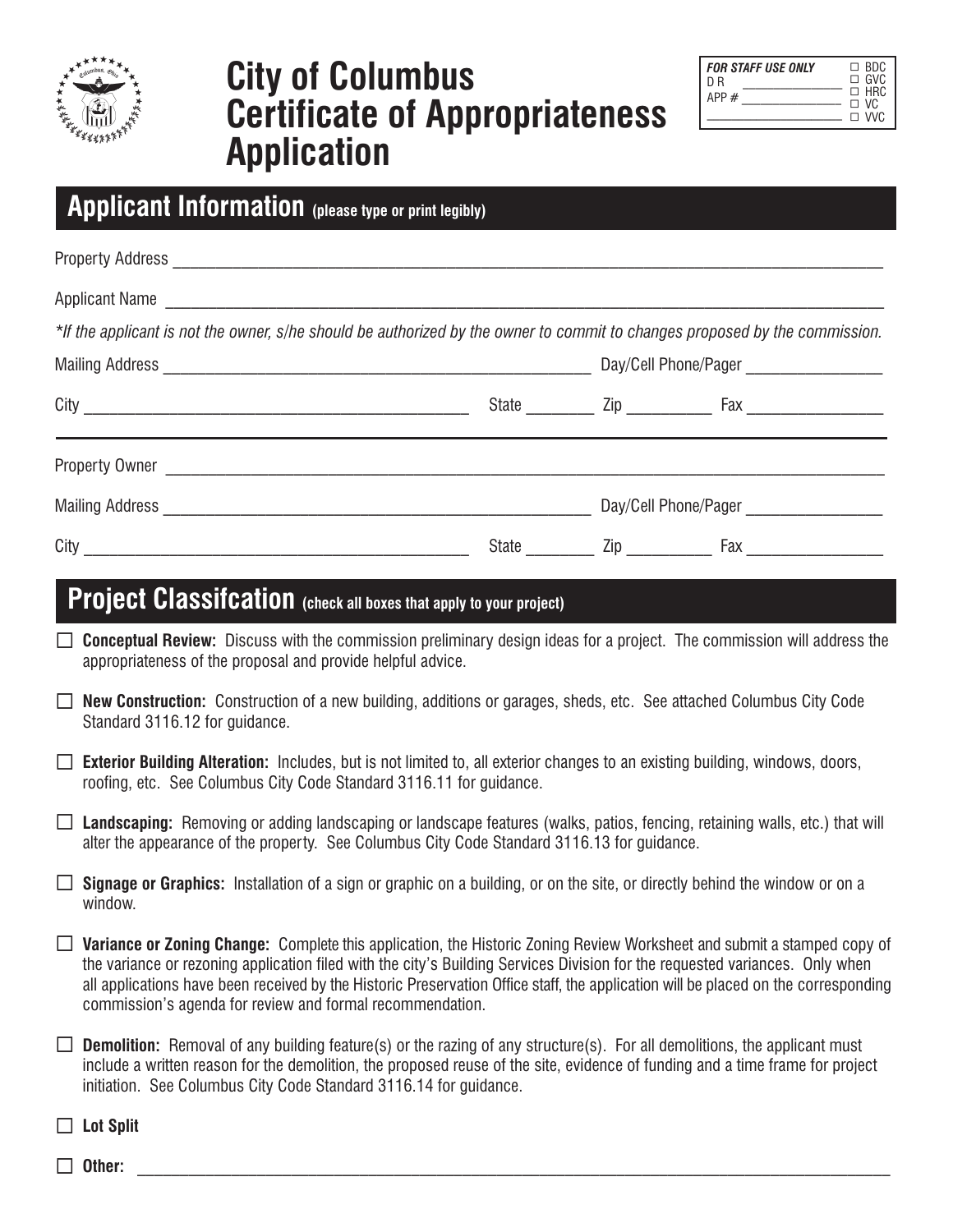

## **City of Columbus Certificate of Appropriateness Application**

| <b>FOR STAFF USE ONLY</b> | $\Box$ BDC                            |
|---------------------------|---------------------------------------|
| D R                       | $\Box$ GVC                            |
| APP #                     | $\Box$ HRC<br>$\Box$ VC<br>$\Box$ VVC |

|  | Applicant Information (please type or print legibly) |
|--|------------------------------------------------------|
|--|------------------------------------------------------|

| *If the applicant is not the owner, s/he should be authorized by the owner to commit to changes proposed by the commission. |                                           |  |  |  |  |  |
|-----------------------------------------------------------------------------------------------------------------------------|-------------------------------------------|--|--|--|--|--|
|                                                                                                                             | Day/Cell Phone/Pager ____________________ |  |  |  |  |  |
|                                                                                                                             |                                           |  |  |  |  |  |
|                                                                                                                             |                                           |  |  |  |  |  |
|                                                                                                                             | Day/Cell Phone/Pager                      |  |  |  |  |  |
|                                                                                                                             |                                           |  |  |  |  |  |
| Duale al Olasaile alian                                                                                                     |                                           |  |  |  |  |  |

### **Project Classifcation (check all boxes that apply to your project)**

 **Conceptual Review:** Discuss with the commission preliminary design ideas for a project. The commission will address the appropriateness of the proposal and provide helpful advice.

|                                | <b>New Construction:</b> Construction of a new building, additions or garages, sheds, etc. See attached Columbus City Code |  |  |  |
|--------------------------------|----------------------------------------------------------------------------------------------------------------------------|--|--|--|
| Standard 3116.12 for guidance. |                                                                                                                            |  |  |  |

|  | $\Box$ Exterior Building Alteration: Includes, but is not limited to, all exterior changes to an existing building, windows, doors, |  |  |  |
|--|-------------------------------------------------------------------------------------------------------------------------------------|--|--|--|
|  | roofing, etc. See Columbus City Code Standard 3116.11 for guidance.                                                                 |  |  |  |

- □ Landscaping: Removing or adding landscaping or landscape features (walks, patios, fencing, retaining walls, etc.) that will alter the appearance of the property. See Columbus City Code Standard 3116.13 for guidance.
- **Signage or Graphics:** Installation of a sign or graphic on a building, or on the site, or directly behind the window or on a window.
- **Variance or Zoning Change:** Complete this application, the Historic Zoning Review Worksheet and submit a stamped copy of the variance or rezoning application filed with the city's Building Services Division for the requested variances. Only when all applications have been received by the Historic Preservation Office staff, the application will be placed on the corresponding commission's agenda for review and formal recommendation.
- **Demolition:** Removal of any building feature(s) or the razing of any structure(s). For all demolitions, the applicant must include a written reason for the demolition, the proposed reuse of the site, evidence of funding and a time frame for project initiation. See Columbus City Code Standard 3116.14 for guidance.

**Lot Split**

**Other:** \_\_\_\_\_\_\_\_\_\_\_\_\_\_\_\_\_\_\_\_\_\_\_\_\_\_\_\_\_\_\_\_\_\_\_\_\_\_\_\_\_\_\_\_\_\_\_\_\_\_\_\_\_\_\_\_\_\_\_\_\_\_\_\_\_\_\_\_\_\_\_\_\_\_\_\_\_\_\_\_\_\_\_\_\_\_\_\_